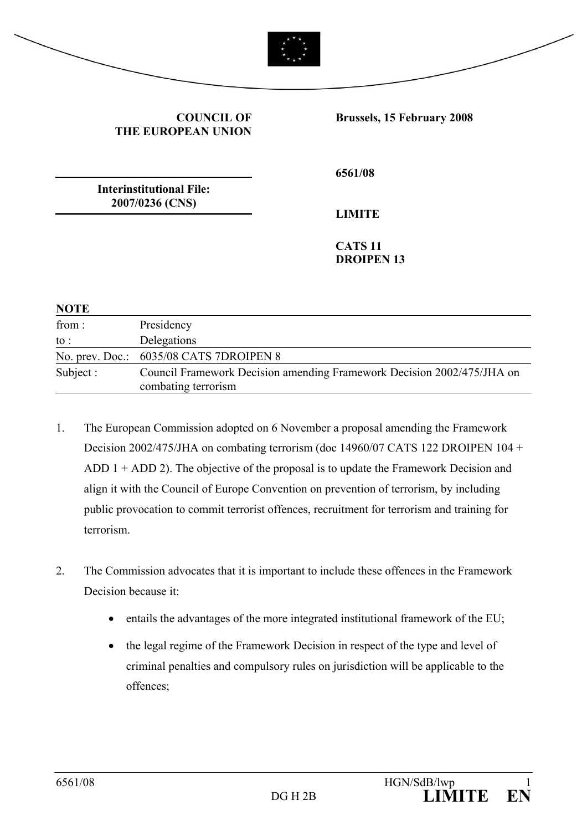

#### **COUNCIL OF THE EUROPEAN UNION**

**Brussels, 15 February 2008** 

**Interinstitutional File: 2007/0236 (CNS)** 

**6561/08** 

**LIMITE** 

**CATS 11 DROIPEN 13** 

| <b>NOTE</b>       |                                                                                               |
|-------------------|-----------------------------------------------------------------------------------------------|
| from:             | Presidency                                                                                    |
| $\mathfrak{to}$ : | Delegations                                                                                   |
|                   | No. prev. Doc.: 6035/08 CATS 7DROIPEN 8                                                       |
| Subject :         | Council Framework Decision amending Framework Decision 2002/475/JHA on<br>combating terrorism |

- 1. The European Commission adopted on 6 November a proposal amending the Framework Decision 2002/475/JHA on combating terrorism (doc 14960/07 CATS 122 DROIPEN 104 + ADD 1 + ADD 2). The objective of the proposal is to update the Framework Decision and align it with the Council of Europe Convention on prevention of terrorism, by including public provocation to commit terrorist offences, recruitment for terrorism and training for terrorism.
- 2. The Commission advocates that it is important to include these offences in the Framework Decision because it:
	- entails the advantages of the more integrated institutional framework of the EU;
	- the legal regime of the Framework Decision in respect of the type and level of criminal penalties and compulsory rules on jurisdiction will be applicable to the offences;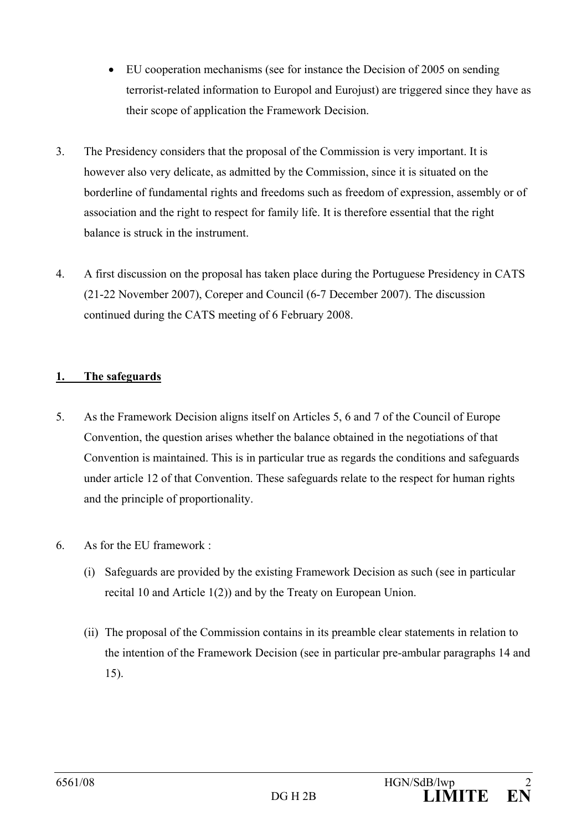- EU cooperation mechanisms (see for instance the Decision of 2005 on sending terrorist-related information to Europol and Eurojust) are triggered since they have as their scope of application the Framework Decision.
- 3. The Presidency considers that the proposal of the Commission is very important. It is however also very delicate, as admitted by the Commission, since it is situated on the borderline of fundamental rights and freedoms such as freedom of expression, assembly or of association and the right to respect for family life. It is therefore essential that the right balance is struck in the instrument.
- 4. A first discussion on the proposal has taken place during the Portuguese Presidency in CATS (21-22 November 2007), Coreper and Council (6-7 December 2007). The discussion continued during the CATS meeting of 6 February 2008.

# **1. The safeguards**

- 5. As the Framework Decision aligns itself on Articles 5, 6 and 7 of the Council of Europe Convention, the question arises whether the balance obtained in the negotiations of that Convention is maintained. This is in particular true as regards the conditions and safeguards under article 12 of that Convention. These safeguards relate to the respect for human rights and the principle of proportionality.
- 6. As for the EU framework :
	- (i) Safeguards are provided by the existing Framework Decision as such (see in particular recital 10 and Article 1(2)) and by the Treaty on European Union.
	- (ii) The proposal of the Commission contains in its preamble clear statements in relation to the intention of the Framework Decision (see in particular pre-ambular paragraphs 14 and 15).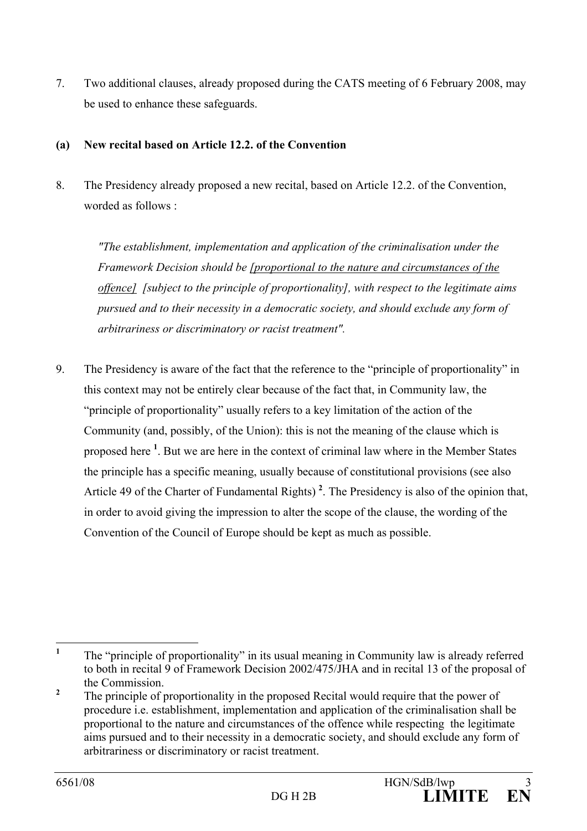7. Two additional clauses, already proposed during the CATS meeting of 6 February 2008, may be used to enhance these safeguards.

# **(a) New recital based on Article 12.2. of the Convention**

8. The Presidency already proposed a new recital, based on Article 12.2. of the Convention, worded as follows :

 *"The establishment, implementation and application of the criminalisation under the Framework Decision should be [proportional to the nature and circumstances of the offence] [subject to the principle of proportionality], with respect to the legitimate aims pursued and to their necessity in a democratic society, and should exclude any form of arbitrariness or discriminatory or racist treatment".* 

9. The Presidency is aware of the fact that the reference to the "principle of proportionality" in this context may not be entirely clear because of the fact that, in Community law, the "principle of proportionality" usually refers to a key limitation of the action of the Community (and, possibly, of the Union): this is not the meaning of the clause which is proposed here **<sup>1</sup>** . But we are here in the context of criminal law where in the Member States the principle has a specific meaning, usually because of constitutional provisions (see also Article 49 of the Charter of Fundamental Rights) **<sup>2</sup>** . The Presidency is also of the opinion that, in order to avoid giving the impression to alter the scope of the clause, the wording of the Convention of the Council of Europe should be kept as much as possible.

 **1** The "principle of proportionality" in its usual meaning in Community law is already referred to both in recital 9 of Framework Decision 2002/475/JHA and in recital 13 of the proposal of the Commission.

**<sup>2</sup>** The principle of proportionality in the proposed Recital would require that the power of procedure i.e. establishment, implementation and application of the criminalisation shall be proportional to the nature and circumstances of the offence while respecting the legitimate aims pursued and to their necessity in a democratic society, and should exclude any form of arbitrariness or discriminatory or racist treatment.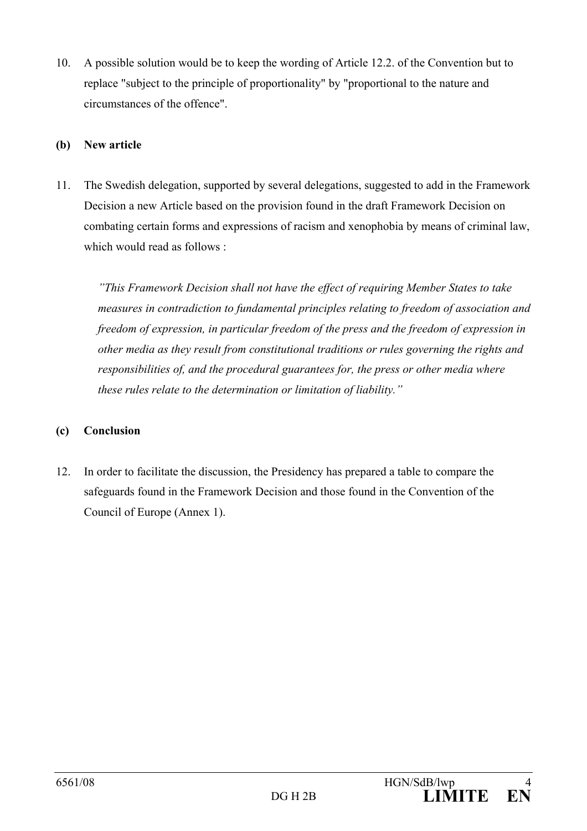10. A possible solution would be to keep the wording of Article 12.2. of the Convention but to replace "subject to the principle of proportionality" by "proportional to the nature and circumstances of the offence".

#### **(b) New article**

11. The Swedish delegation, supported by several delegations, suggested to add in the Framework Decision a new Article based on the provision found in the draft Framework Decision on combating certain forms and expressions of racism and xenophobia by means of criminal law, which would read as follows :

*"This Framework Decision shall not have the effect of requiring Member States to take measures in contradiction to fundamental principles relating to freedom of association and freedom of expression, in particular freedom of the press and the freedom of expression in other media as they result from constitutional traditions or rules governing the rights and responsibilities of, and the procedural guarantees for, the press or other media where these rules relate to the determination or limitation of liability."* 

### **(c) Conclusion**

12. In order to facilitate the discussion, the Presidency has prepared a table to compare the safeguards found in the Framework Decision and those found in the Convention of the Council of Europe (Annex 1).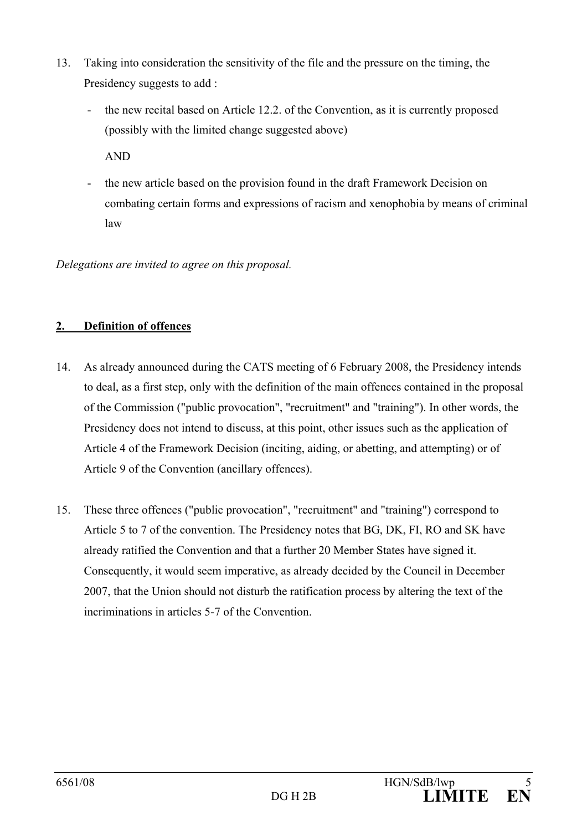- 13. Taking into consideration the sensitivity of the file and the pressure on the timing, the Presidency suggests to add :
	- the new recital based on Article 12.2. of the Convention, as it is currently proposed (possibly with the limited change suggested above)

AND

- the new article based on the provision found in the draft Framework Decision on combating certain forms and expressions of racism and xenophobia by means of criminal law

*Delegations are invited to agree on this proposal.* 

# **2. Definition of offences**

- 14. As already announced during the CATS meeting of 6 February 2008, the Presidency intends to deal, as a first step, only with the definition of the main offences contained in the proposal of the Commission ("public provocation", "recruitment" and "training"). In other words, the Presidency does not intend to discuss, at this point, other issues such as the application of Article 4 of the Framework Decision (inciting, aiding, or abetting, and attempting) or of Article 9 of the Convention (ancillary offences).
- 15. These three offences ("public provocation", "recruitment" and "training") correspond to Article 5 to 7 of the convention. The Presidency notes that BG, DK, FI, RO and SK have already ratified the Convention and that a further 20 Member States have signed it. Consequently, it would seem imperative, as already decided by the Council in December 2007, that the Union should not disturb the ratification process by altering the text of the incriminations in articles 5-7 of the Convention.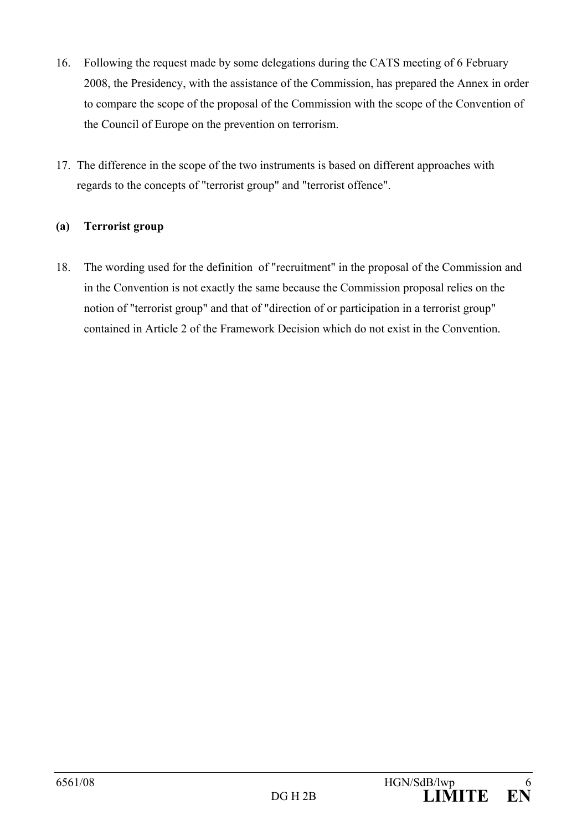- 16. Following the request made by some delegations during the CATS meeting of 6 February 2008, the Presidency, with the assistance of the Commission, has prepared the Annex in order to compare the scope of the proposal of the Commission with the scope of the Convention of the Council of Europe on the prevention on terrorism.
- 17. The difference in the scope of the two instruments is based on different approaches with regards to the concepts of "terrorist group" and "terrorist offence".

### **(a) Terrorist group**

18. The wording used for the definition of "recruitment" in the proposal of the Commission and in the Convention is not exactly the same because the Commission proposal relies on the notion of "terrorist group" and that of "direction of or participation in a terrorist group" contained in Article 2 of the Framework Decision which do not exist in the Convention.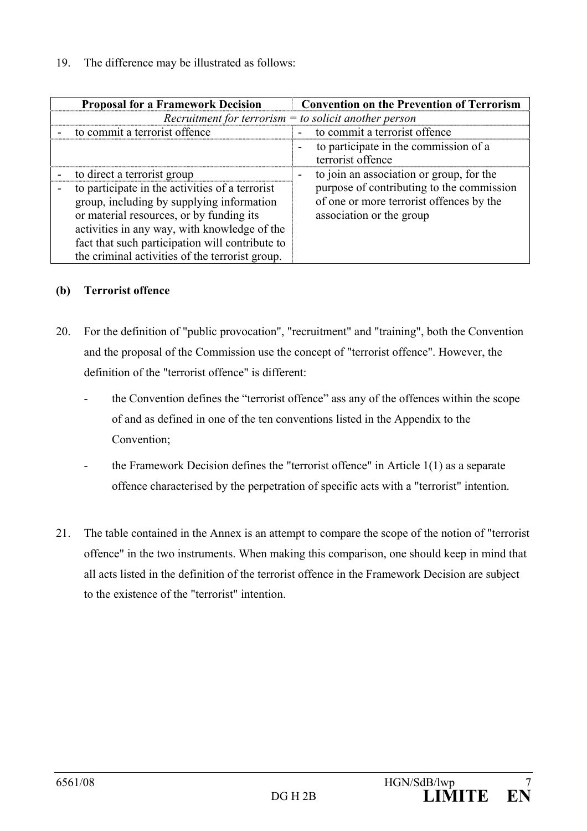| <b>Proposal for a Framework Decision</b>                                                                                                                                                                                                                                                                                      | <b>Convention on the Prevention of Terrorism</b>                                                                                                              |
|-------------------------------------------------------------------------------------------------------------------------------------------------------------------------------------------------------------------------------------------------------------------------------------------------------------------------------|---------------------------------------------------------------------------------------------------------------------------------------------------------------|
| Recruitment for terrorism $=$ to solicit another person                                                                                                                                                                                                                                                                       |                                                                                                                                                               |
| to commit a terrorist offence                                                                                                                                                                                                                                                                                                 | to commit a terrorist offence<br>$\sim$                                                                                                                       |
|                                                                                                                                                                                                                                                                                                                               | to participate in the commission of a<br>terrorist offence                                                                                                    |
| to direct a terrorist group<br>to participate in the activities of a terrorist<br>group, including by supplying information<br>or material resources, or by funding its<br>activities in any way, with knowledge of the<br>fact that such participation will contribute to<br>the criminal activities of the terrorist group. | to join an association or group, for the<br>purpose of contributing to the commission<br>of one or more terrorist offences by the<br>association or the group |

### **(b) Terrorist offence**

- 20. For the definition of "public provocation", "recruitment" and "training", both the Convention and the proposal of the Commission use the concept of "terrorist offence". However, the definition of the "terrorist offence" is different:
	- the Convention defines the "terrorist offence" ass any of the offences within the scope of and as defined in one of the ten conventions listed in the Appendix to the Convention;
	- the Framework Decision defines the "terrorist offence" in Article  $1(1)$  as a separate offence characterised by the perpetration of specific acts with a "terrorist" intention.
- 21. The table contained in the Annex is an attempt to compare the scope of the notion of "terrorist offence" in the two instruments. When making this comparison, one should keep in mind that all acts listed in the definition of the terrorist offence in the Framework Decision are subject to the existence of the "terrorist" intention.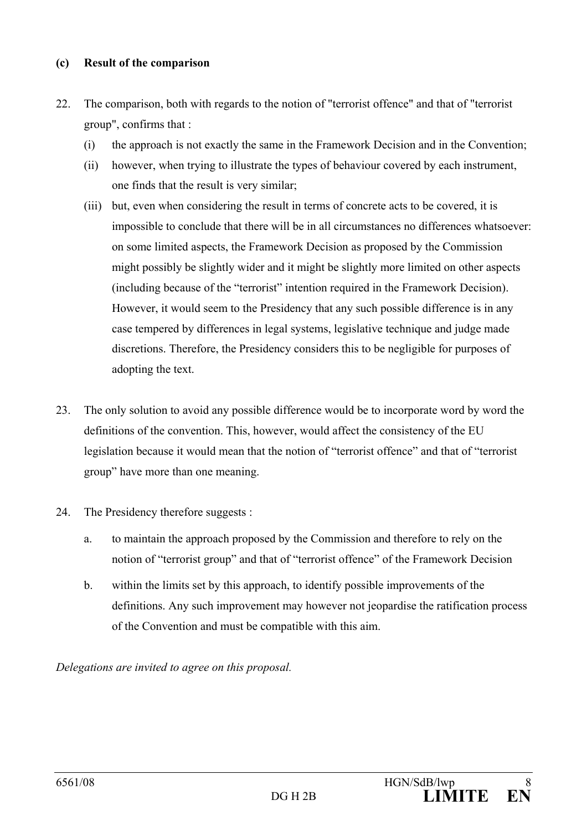#### **(c) Result of the comparison**

- 22. The comparison, both with regards to the notion of "terrorist offence" and that of "terrorist group", confirms that :
	- (i) the approach is not exactly the same in the Framework Decision and in the Convention;
	- (ii) however, when trying to illustrate the types of behaviour covered by each instrument, one finds that the result is very similar;
	- (iii) but, even when considering the result in terms of concrete acts to be covered, it is impossible to conclude that there will be in all circumstances no differences whatsoever: on some limited aspects, the Framework Decision as proposed by the Commission might possibly be slightly wider and it might be slightly more limited on other aspects (including because of the "terrorist" intention required in the Framework Decision). However, it would seem to the Presidency that any such possible difference is in any case tempered by differences in legal systems, legislative technique and judge made discretions. Therefore, the Presidency considers this to be negligible for purposes of adopting the text.
- 23. The only solution to avoid any possible difference would be to incorporate word by word the definitions of the convention. This, however, would affect the consistency of the EU legislation because it would mean that the notion of "terrorist offence" and that of "terrorist group" have more than one meaning.
- 24. The Presidency therefore suggests :
	- a. to maintain the approach proposed by the Commission and therefore to rely on the notion of "terrorist group" and that of "terrorist offence" of the Framework Decision
	- b. within the limits set by this approach, to identify possible improvements of the definitions. Any such improvement may however not jeopardise the ratification process of the Convention and must be compatible with this aim.

*Delegations are invited to agree on this proposal.*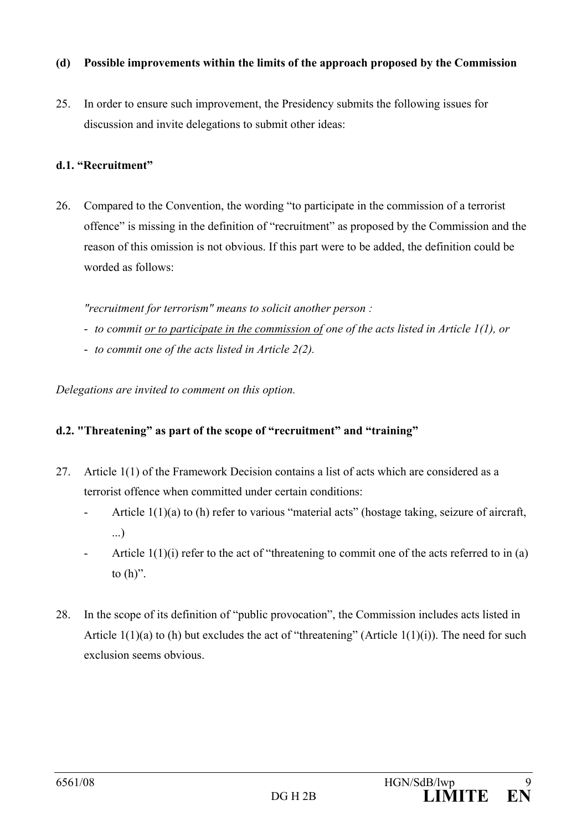#### **(d) Possible improvements within the limits of the approach proposed by the Commission**

25. In order to ensure such improvement, the Presidency submits the following issues for discussion and invite delegations to submit other ideas:

#### **d.1. "Recruitment"**

26. Compared to the Convention, the wording "to participate in the commission of a terrorist offence" is missing in the definition of "recruitment" as proposed by the Commission and the reason of this omission is not obvious. If this part were to be added, the definition could be worded as follows:

*"recruitment for terrorism" means to solicit another person :* 

- *to commit or to participate in the commission of one of the acts listed in Article 1(1), or*
- *to commit one of the acts listed in Article 2(2).*

*Delegations are invited to comment on this option.* 

### **d.2. "Threatening" as part of the scope of "recruitment" and "training"**

- 27. Article 1(1) of the Framework Decision contains a list of acts which are considered as a terrorist offence when committed under certain conditions:
	- Article 1(1)(a) to (h) refer to various "material acts" (hostage taking, seizure of aircraft, ...)
	- Article  $1(1)(i)$  refer to the act of "threatening to commit one of the acts referred to in (a) to  $(h)$ ".
- 28. In the scope of its definition of "public provocation", the Commission includes acts listed in Article  $1(1)(a)$  to (h) but excludes the act of "threatening" (Article  $1(1)(i)$ ). The need for such exclusion seems obvious.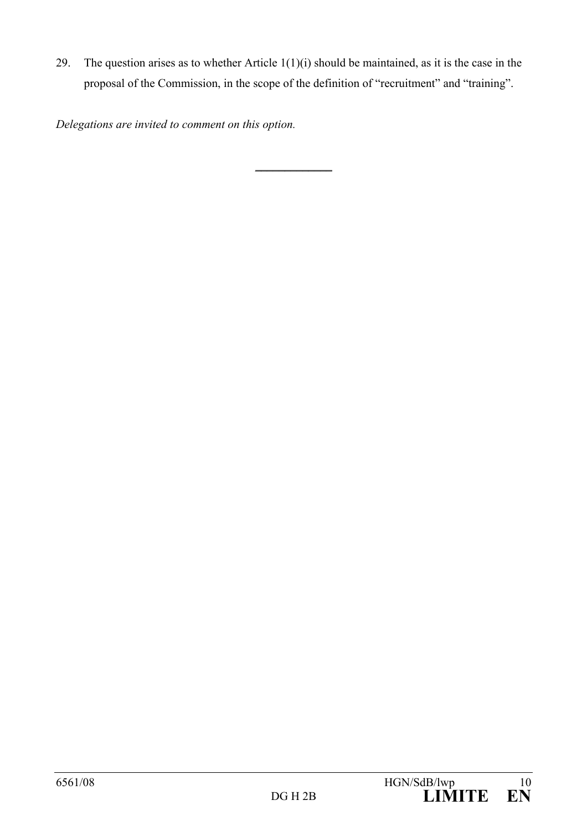29. The question arises as to whether Article  $1(1)(i)$  should be maintained, as it is the case in the proposal of the Commission, in the scope of the definition of "recruitment" and "training".

\_\_\_\_\_\_\_\_\_\_\_\_\_

*Delegations are invited to comment on this option.*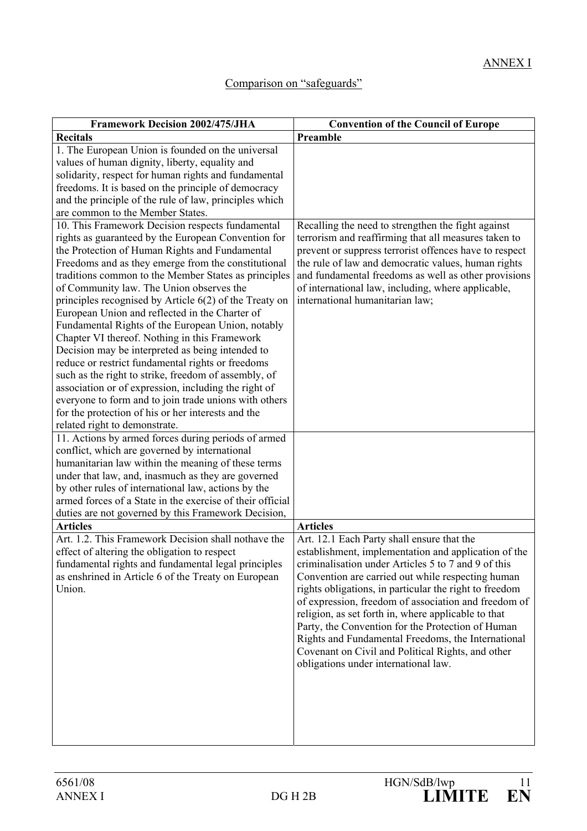# Comparison on "safeguards"

| <b>Framework Decision 2002/475/JHA</b>                                                            | <b>Convention of the Council of Europe</b>                                                              |
|---------------------------------------------------------------------------------------------------|---------------------------------------------------------------------------------------------------------|
| <b>Recitals</b>                                                                                   | Preamble                                                                                                |
| 1. The European Union is founded on the universal                                                 |                                                                                                         |
| values of human dignity, liberty, equality and                                                    |                                                                                                         |
| solidarity, respect for human rights and fundamental                                              |                                                                                                         |
| freedoms. It is based on the principle of democracy                                               |                                                                                                         |
| and the principle of the rule of law, principles which                                            |                                                                                                         |
| are common to the Member States.                                                                  |                                                                                                         |
| 10. This Framework Decision respects fundamental                                                  | Recalling the need to strengthen the fight against                                                      |
| rights as guaranteed by the European Convention for                                               | terrorism and reaffirming that all measures taken to                                                    |
| the Protection of Human Rights and Fundamental                                                    | prevent or suppress terrorist offences have to respect                                                  |
| Freedoms and as they emerge from the constitutional                                               | the rule of law and democratic values, human rights                                                     |
| traditions common to the Member States as principles                                              | and fundamental freedoms as well as other provisions                                                    |
| of Community law. The Union observes the                                                          | of international law, including, where applicable,                                                      |
| principles recognised by Article 6(2) of the Treaty on                                            | international humanitarian law;                                                                         |
| European Union and reflected in the Charter of                                                    |                                                                                                         |
| Fundamental Rights of the European Union, notably                                                 |                                                                                                         |
| Chapter VI thereof. Nothing in this Framework<br>Decision may be interpreted as being intended to |                                                                                                         |
| reduce or restrict fundamental rights or freedoms                                                 |                                                                                                         |
| such as the right to strike, freedom of assembly, of                                              |                                                                                                         |
| association or of expression, including the right of                                              |                                                                                                         |
| everyone to form and to join trade unions with others                                             |                                                                                                         |
| for the protection of his or her interests and the                                                |                                                                                                         |
| related right to demonstrate.                                                                     |                                                                                                         |
| 11. Actions by armed forces during periods of armed                                               |                                                                                                         |
| conflict, which are governed by international                                                     |                                                                                                         |
| humanitarian law within the meaning of these terms                                                |                                                                                                         |
| under that law, and, inasmuch as they are governed                                                |                                                                                                         |
| by other rules of international law, actions by the                                               |                                                                                                         |
| armed forces of a State in the exercise of their official                                         |                                                                                                         |
| duties are not governed by this Framework Decision,                                               |                                                                                                         |
| <b>Articles</b>                                                                                   | <b>Articles</b>                                                                                         |
| Art. 1.2. This Framework Decision shall nothave the                                               | Art. 12.1 Each Party shall ensure that the                                                              |
| effect of altering the obligation to respect                                                      | establishment, implementation and application of the                                                    |
| fundamental rights and fundamental legal principles                                               | criminalisation under Articles 5 to 7 and 9 of this                                                     |
| as enshrined in Article 6 of the Treaty on European                                               | Convention are carried out while respecting human                                                       |
| Union.                                                                                            | rights obligations, in particular the right to freedom                                                  |
|                                                                                                   | of expression, freedom of association and freedom of                                                    |
|                                                                                                   | religion, as set forth in, where applicable to that                                                     |
|                                                                                                   | Party, the Convention for the Protection of Human                                                       |
|                                                                                                   | Rights and Fundamental Freedoms, the International<br>Covenant on Civil and Political Rights, and other |
|                                                                                                   | obligations under international law.                                                                    |
|                                                                                                   |                                                                                                         |
|                                                                                                   |                                                                                                         |
|                                                                                                   |                                                                                                         |
|                                                                                                   |                                                                                                         |
|                                                                                                   |                                                                                                         |
|                                                                                                   |                                                                                                         |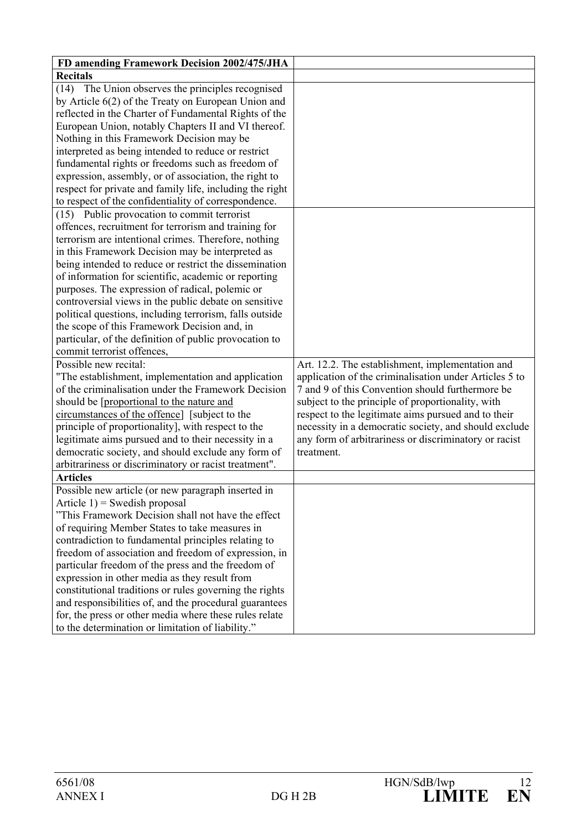| FD amending Framework Decision 2002/475/JHA              |                                                        |
|----------------------------------------------------------|--------------------------------------------------------|
| <b>Recitals</b>                                          |                                                        |
| (14) The Union observes the principles recognised        |                                                        |
| by Article 6(2) of the Treaty on European Union and      |                                                        |
| reflected in the Charter of Fundamental Rights of the    |                                                        |
| European Union, notably Chapters II and VI thereof.      |                                                        |
| Nothing in this Framework Decision may be                |                                                        |
| interpreted as being intended to reduce or restrict      |                                                        |
| fundamental rights or freedoms such as freedom of        |                                                        |
| expression, assembly, or of association, the right to    |                                                        |
| respect for private and family life, including the right |                                                        |
| to respect of the confidentiality of correspondence.     |                                                        |
| (15) Public provocation to commit terrorist              |                                                        |
| offences, recruitment for terrorism and training for     |                                                        |
| terrorism are intentional crimes. Therefore, nothing     |                                                        |
| in this Framework Decision may be interpreted as         |                                                        |
| being intended to reduce or restrict the dissemination   |                                                        |
| of information for scientific, academic or reporting     |                                                        |
| purposes. The expression of radical, polemic or          |                                                        |
| controversial views in the public debate on sensitive    |                                                        |
| political questions, including terrorism, falls outside  |                                                        |
| the scope of this Framework Decision and, in             |                                                        |
| particular, of the definition of public provocation to   |                                                        |
| commit terrorist offences,                               |                                                        |
| Possible new recital:                                    | Art. 12.2. The establishment, implementation and       |
| "The establishment, implementation and application       | application of the criminalisation under Articles 5 to |
| of the criminalisation under the Framework Decision      | 7 and 9 of this Convention should furthermore be       |
| should be [proportional to the nature and                | subject to the principle of proportionality, with      |
| circumstances of the offence] [subject to the            | respect to the legitimate aims pursued and to their    |
| principle of proportionality], with respect to the       | necessity in a democratic society, and should exclude  |
| legitimate aims pursued and to their necessity in a      | any form of arbitrariness or discriminatory or racist  |
| democratic society, and should exclude any form of       | treatment.                                             |
| arbitrariness or discriminatory or racist treatment".    |                                                        |
| <b>Articles</b>                                          |                                                        |
| Possible new article (or new paragraph inserted in       |                                                        |
| Article $1$ ) = Swedish proposal                         |                                                        |
| "This Framework Decision shall not have the effect       |                                                        |
| of requiring Member States to take measures in           |                                                        |
| contradiction to fundamental principles relating to      |                                                        |
| freedom of association and freedom of expression, in     |                                                        |
| particular freedom of the press and the freedom of       |                                                        |
| expression in other media as they result from            |                                                        |
| constitutional traditions or rules governing the rights  |                                                        |
| and responsibilities of, and the procedural guarantees   |                                                        |
| for, the press or other media where these rules relate   |                                                        |
| to the determination or limitation of liability."        |                                                        |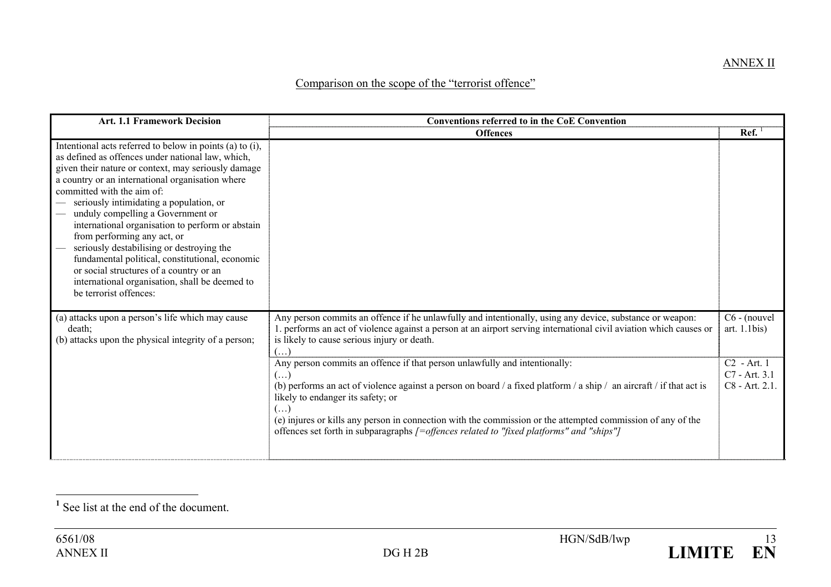#### Comparison on the scope of the "terrorist offence"

| <b>Art. 1.1 Framework Decision</b>                                                                                                                                                                                                                                                                                                                                                                                                                                                                                                                                                                                                               | <b>Conventions referred to in the CoE Convention</b>                                                                                                                                                                                                                                                                                                                                                                                                                                      |                                                  |
|--------------------------------------------------------------------------------------------------------------------------------------------------------------------------------------------------------------------------------------------------------------------------------------------------------------------------------------------------------------------------------------------------------------------------------------------------------------------------------------------------------------------------------------------------------------------------------------------------------------------------------------------------|-------------------------------------------------------------------------------------------------------------------------------------------------------------------------------------------------------------------------------------------------------------------------------------------------------------------------------------------------------------------------------------------------------------------------------------------------------------------------------------------|--------------------------------------------------|
|                                                                                                                                                                                                                                                                                                                                                                                                                                                                                                                                                                                                                                                  | <b>Offences</b>                                                                                                                                                                                                                                                                                                                                                                                                                                                                           | Ref.                                             |
| Intentional acts referred to below in points (a) to (i),<br>as defined as offences under national law, which,<br>given their nature or context, may seriously damage<br>a country or an international organisation where<br>committed with the aim of:<br>seriously intimidating a population, or<br>unduly compelling a Government or<br>international organisation to perform or abstain<br>from performing any act, or<br>seriously destabilising or destroying the<br>fundamental political, constitutional, economic<br>or social structures of a country or an<br>international organisation, shall be deemed to<br>be terrorist offences: |                                                                                                                                                                                                                                                                                                                                                                                                                                                                                           |                                                  |
| (a) attacks upon a person's life which may cause<br>death;<br>(b) attacks upon the physical integrity of a person;                                                                                                                                                                                                                                                                                                                                                                                                                                                                                                                               | Any person commits an offence if he unlawfully and intentionally, using any device, substance or weapon:<br>1. performs an act of violence against a person at an airport serving international civil aviation which causes or<br>is likely to cause serious injury or death.<br>$($ )                                                                                                                                                                                                    | C6 - (nouvel<br>art. $1.1$ bis)                  |
|                                                                                                                                                                                                                                                                                                                                                                                                                                                                                                                                                                                                                                                  | Any person commits an offence if that person unlawfully and intentionally:<br>$(\ldots)$<br>(b) performs an act of violence against a person on board / a fixed platform / a ship / an aircraft / if that act is<br>likely to endanger its safety; or<br>$\left(\ldots\right)$<br>(e) injures or kills any person in connection with the commission or the attempted commission of any of the<br>offences set forth in subparagraphs /=offences related to "fixed platforms" and "ships"] | $C2$ - Art. 1<br>C7 - Art. 3.1<br>C8 - Art. 2.1. |



**<sup>1</sup>** See list at the end of the document.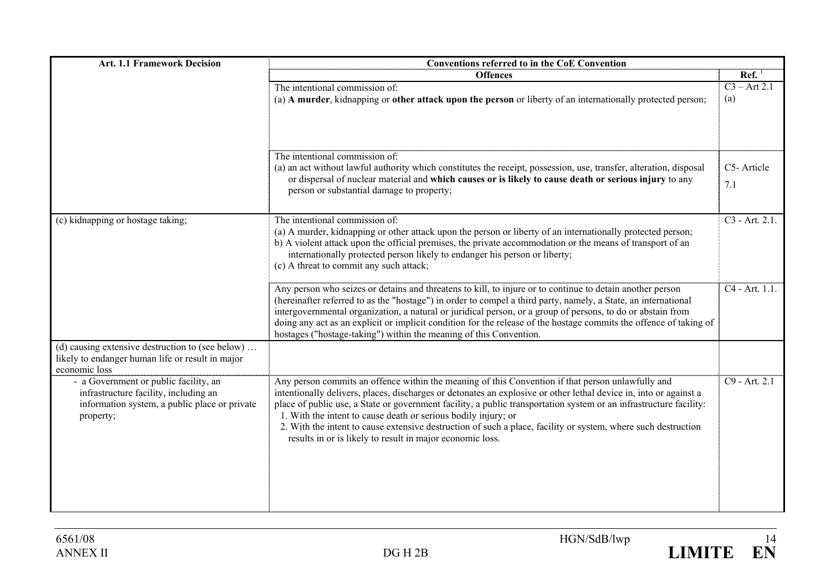| <b>Art. 1.1 Framework Decision</b>                                                                                                           | Conventions referred to in the CoE Convention                                                                                                                                                                                                                                                                                                                                                                                                                                                                                                                                                |                            |  |
|----------------------------------------------------------------------------------------------------------------------------------------------|----------------------------------------------------------------------------------------------------------------------------------------------------------------------------------------------------------------------------------------------------------------------------------------------------------------------------------------------------------------------------------------------------------------------------------------------------------------------------------------------------------------------------------------------------------------------------------------------|----------------------------|--|
|                                                                                                                                              | <b>Offences</b>                                                                                                                                                                                                                                                                                                                                                                                                                                                                                                                                                                              | $\text{Ref.}^1$            |  |
|                                                                                                                                              | The intentional commission of:<br>(a) A murder, kidnapping or other attack upon the person or liberty of an internationally protected person;                                                                                                                                                                                                                                                                                                                                                                                                                                                | $C3 - Art 2.1$<br>(a)      |  |
|                                                                                                                                              | The intentional commission of:<br>(a) an act without lawful authority which constitutes the receipt, possession, use, transfer, alteration, disposal<br>or dispersal of nuclear material and which causes or is likely to cause death or serious injury to any<br>person or substantial damage to property;                                                                                                                                                                                                                                                                                  | C5-Article<br>7.1          |  |
| (c) kidnapping or hostage taking;                                                                                                            | The intentional commission of:<br>(a) A murder, kidnapping or other attack upon the person or liberty of an internationally protected person;<br>b) A violent attack upon the official premises, the private accommodation or the means of transport of an<br>internationally protected person likely to endanger his person or liberty;<br>(c) A threat to commit any such attack;                                                                                                                                                                                                          | $C3 - Art. 2.1$ .          |  |
|                                                                                                                                              | Any person who seizes or detains and threatens to kill, to injure or to continue to detain another person<br>(hereinafter referred to as the "hostage") in order to compel a third party, namely, a State, an international<br>intergovernmental organization, a natural or juridical person, or a group of persons, to do or abstain from<br>doing any act as an explicit or implicit condition for the release of the hostage commits the offence of taking of<br>hostages ("hostage-taking") within the meaning of this Convention.                                                       | C <sub>4</sub> - Art. 1.1. |  |
| (d) causing extensive destruction to (see below)<br>likely to endanger human life or result in major<br>economic loss                        |                                                                                                                                                                                                                                                                                                                                                                                                                                                                                                                                                                                              |                            |  |
| - a Government or public facility, an<br>infrastructure facility, including an<br>information system, a public place or private<br>property; | Any person commits an offence within the meaning of this Convention if that person unlawfully and<br>intentionally delivers, places, discharges or detonates an explosive or other lethal device in, into or against a<br>place of public use, a State or government facility, a public transportation system or an infrastructure facility:<br>1. With the intent to cause death or serious bodily injury; or<br>2. With the intent to cause extensive destruction of such a place, facility or system, where such destruction<br>results in or is likely to result in major economic loss. | $C9 - Art. 2.1$            |  |

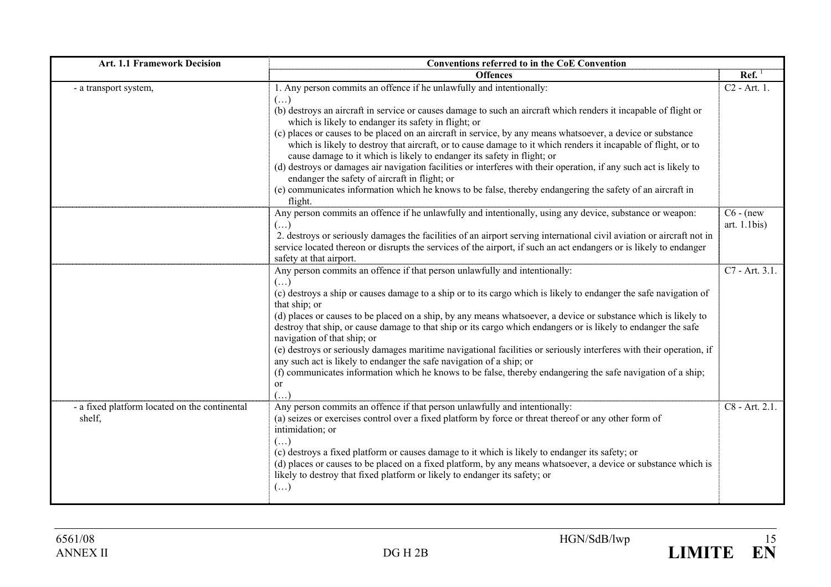| <b>Art. 1.1 Framework Decision</b>                      | Conventions referred to in the CoE Convention                                                                                                                                                                                                                                                                 |                                 |
|---------------------------------------------------------|---------------------------------------------------------------------------------------------------------------------------------------------------------------------------------------------------------------------------------------------------------------------------------------------------------------|---------------------------------|
|                                                         | <b>Offences</b>                                                                                                                                                                                                                                                                                               | Ref.                            |
| - a transport system,                                   | 1. Any person commits an offence if he unlawfully and intentionally:<br>$(\ldots)$                                                                                                                                                                                                                            | C <sub>2</sub> - Art. 1.        |
|                                                         | (b) destroys an aircraft in service or causes damage to such an aircraft which renders it incapable of flight or<br>which is likely to endanger its safety in flight; or                                                                                                                                      |                                 |
|                                                         | (c) places or causes to be placed on an aircraft in service, by any means whatsoever, a device or substance<br>which is likely to destroy that aircraft, or to cause damage to it which renders it incapable of flight, or to<br>cause damage to it which is likely to endanger its safety in flight; or      |                                 |
|                                                         | (d) destroys or damages air navigation facilities or interferes with their operation, if any such act is likely to<br>endanger the safety of aircraft in flight; or                                                                                                                                           |                                 |
|                                                         | (e) communicates information which he knows to be false, thereby endangering the safety of an aircraft in<br>flight.                                                                                                                                                                                          |                                 |
|                                                         | Any person commits an offence if he unlawfully and intentionally, using any device, substance or weapon:<br>$(\ldots)$                                                                                                                                                                                        | $C6 - (new)$<br>art. $1.1$ bis) |
|                                                         | 2. destroys or seriously damages the facilities of an airport serving international civil aviation or aircraft not in<br>service located thereon or disrupts the services of the airport, if such an act endangers or is likely to endanger<br>safety at that airport.                                        |                                 |
|                                                         | Any person commits an offence if that person unlawfully and intentionally:                                                                                                                                                                                                                                    | C7 - Art. 3.1.                  |
|                                                         | $(\ldots)$<br>(c) destroys a ship or causes damage to a ship or to its cargo which is likely to endanger the safe navigation of<br>that ship; or                                                                                                                                                              |                                 |
|                                                         | (d) places or causes to be placed on a ship, by any means whatsoever, a device or substance which is likely to<br>destroy that ship, or cause damage to that ship or its cargo which endangers or is likely to endanger the safe<br>navigation of that ship; or                                               |                                 |
|                                                         | (e) destroys or seriously damages maritime navigational facilities or seriously interferes with their operation, if<br>any such act is likely to endanger the safe navigation of a ship; or                                                                                                                   |                                 |
|                                                         | (f) communicates information which he knows to be false, thereby endangering the safe navigation of a ship;<br><sub>or</sub><br>$(\ldots)$                                                                                                                                                                    |                                 |
| - a fixed platform located on the continental<br>shelf, | Any person commits an offence if that person unlawfully and intentionally:<br>(a) seizes or exercises control over a fixed platform by force or threat thereof or any other form of<br>intimidation; or<br>$(\ldots)$                                                                                         | C8 - Art. 2.1.                  |
|                                                         | (c) destroys a fixed platform or causes damage to it which is likely to endanger its safety; or<br>(d) places or causes to be placed on a fixed platform, by any means whatsoever, a device or substance which is<br>likely to destroy that fixed platform or likely to endanger its safety; or<br>$(\ldots)$ |                                 |

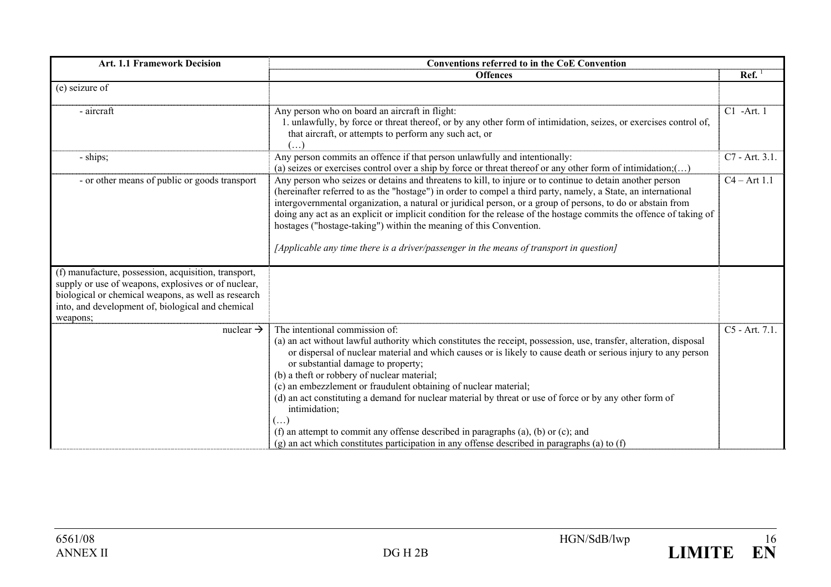| <b>Art. 1.1 Framework Decision</b><br><b>Conventions referred to in the CoE Convention</b>                                                                                                                                          |                                                                                                                                                                                                                                                                                                                                                                                                                                                                                                                                                                                                                                                                                                                                                                 |                 |
|-------------------------------------------------------------------------------------------------------------------------------------------------------------------------------------------------------------------------------------|-----------------------------------------------------------------------------------------------------------------------------------------------------------------------------------------------------------------------------------------------------------------------------------------------------------------------------------------------------------------------------------------------------------------------------------------------------------------------------------------------------------------------------------------------------------------------------------------------------------------------------------------------------------------------------------------------------------------------------------------------------------------|-----------------|
|                                                                                                                                                                                                                                     | <b>Offences</b>                                                                                                                                                                                                                                                                                                                                                                                                                                                                                                                                                                                                                                                                                                                                                 | $\text{Ref.}^1$ |
| (e) seizure of                                                                                                                                                                                                                      |                                                                                                                                                                                                                                                                                                                                                                                                                                                                                                                                                                                                                                                                                                                                                                 |                 |
| - aircraft                                                                                                                                                                                                                          | Any person who on board an aircraft in flight:<br>1. unlawfully, by force or threat thereof, or by any other form of intimidation, seizes, or exercises control of,<br>that aircraft, or attempts to perform any such act, or                                                                                                                                                                                                                                                                                                                                                                                                                                                                                                                                   | C1 -Art. 1      |
| - ships;                                                                                                                                                                                                                            | Any person commits an offence if that person unlawfully and intentionally:<br>(a) seizes or exercises control over a ship by force or threat thereof or any other form of intimidation;()                                                                                                                                                                                                                                                                                                                                                                                                                                                                                                                                                                       | C7 - Art. 3.1.  |
| - or other means of public or goods transport                                                                                                                                                                                       | Any person who seizes or detains and threatens to kill, to injure or to continue to detain another person<br>(hereinafter referred to as the "hostage") in order to compel a third party, namely, a State, an international<br>intergovernmental organization, a natural or juridical person, or a group of persons, to do or abstain from<br>doing any act as an explicit or implicit condition for the release of the hostage commits the offence of taking of<br>hostages ("hostage-taking") within the meaning of this Convention.<br>[Applicable any time there is a driver/passenger in the means of transport in question]                                                                                                                               | $C4 - Art 1.1$  |
| (f) manufacture, possession, acquisition, transport,<br>supply or use of weapons, explosives or of nuclear,<br>biological or chemical weapons, as well as research<br>into, and development of, biological and chemical<br>weapons; |                                                                                                                                                                                                                                                                                                                                                                                                                                                                                                                                                                                                                                                                                                                                                                 |                 |
| nuclear $\rightarrow$                                                                                                                                                                                                               | The intentional commission of:<br>(a) an act without lawful authority which constitutes the receipt, possession, use, transfer, alteration, disposal<br>or dispersal of nuclear material and which causes or is likely to cause death or serious injury to any person<br>or substantial damage to property;<br>(b) a theft or robbery of nuclear material;<br>(c) an embezzlement or fraudulent obtaining of nuclear material;<br>(d) an act constituting a demand for nuclear material by threat or use of force or by any other form of<br>intimidation;<br>$(\ldots)$<br>(f) an attempt to commit any offense described in paragraphs (a), (b) or (c); and<br>$(g)$ an act which constitutes participation in any offense described in paragraphs (a) to (f) | C5 - Art. 7.1.  |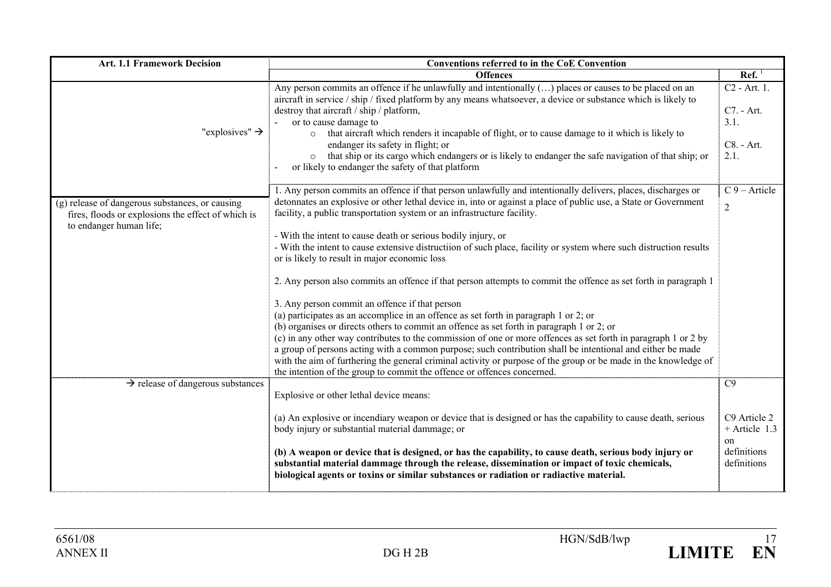| <b>Art. 1.1 Framework Decision</b>                                                                                               | <b>Conventions referred to in the CoE Convention</b>                                                                                                                                                                                                                                                                                                                                                                                                                                                                                                                                                                                                                                                                                                                                                                                                                                                                                                                                                                                                                                                                                              |                                                                       |  |
|----------------------------------------------------------------------------------------------------------------------------------|---------------------------------------------------------------------------------------------------------------------------------------------------------------------------------------------------------------------------------------------------------------------------------------------------------------------------------------------------------------------------------------------------------------------------------------------------------------------------------------------------------------------------------------------------------------------------------------------------------------------------------------------------------------------------------------------------------------------------------------------------------------------------------------------------------------------------------------------------------------------------------------------------------------------------------------------------------------------------------------------------------------------------------------------------------------------------------------------------------------------------------------------------|-----------------------------------------------------------------------|--|
|                                                                                                                                  | <b>Offences</b>                                                                                                                                                                                                                                                                                                                                                                                                                                                                                                                                                                                                                                                                                                                                                                                                                                                                                                                                                                                                                                                                                                                                   | $\text{Ref.}^1$                                                       |  |
| "explosives" $\rightarrow$                                                                                                       | Any person commits an offence if he unlawfully and intentionally $(\ldots)$ places or causes to be placed on an<br>aircraft in service / ship / fixed platform by any means whatsoever, a device or substance which is likely to<br>destroy that aircraft / ship / platform,<br>or to cause damage to<br>that aircraft which renders it incapable of flight, or to cause damage to it which is likely to<br>$\circ$<br>endanger its safety in flight; or<br>that ship or its cargo which endangers or is likely to endanger the safe navigation of that ship; or<br>$\circ$<br>or likely to endanger the safety of that platform                                                                                                                                                                                                                                                                                                                                                                                                                                                                                                                  | $\overline{C2}$ - Art. 1.<br>C7. - Art.<br>3.1.<br>C8. - Art.<br>2.1. |  |
| (g) release of dangerous substances, or causing<br>fires, floods or explosions the effect of which is<br>to endanger human life; | 1. Any person commits an offence if that person unlawfully and intentionally delivers, places, discharges or<br>detonnates an explosive or other lethal device in, into or against a place of public use, a State or Government<br>facility, a public transportation system or an infrastructure facility.<br>- With the intent to cause death or serious bodily injury, or<br>- With the intent to cause extensive distructiion of such place, facility or system where such distruction results<br>or is likely to result in major economic loss<br>2. Any person also commits an offence if that person attempts to commit the offence as set forth in paragraph 1<br>3. Any person commit an offence if that person<br>(a) participates as an accomplice in an offence as set forth in paragraph $1$ or $2$ ; or<br>(b) organises or directs others to commit an offence as set forth in paragraph 1 or 2; or<br>(c) in any other way contributes to the commission of one or more offences as set forth in paragraph 1 or 2 by<br>a group of persons acting with a common purpose; such contribution shall be intentional and either be made | $C_9$ – Article<br>$\overline{2}$                                     |  |
| $\rightarrow$ release of dangerous substances                                                                                    | with the aim of furthering the general criminal activity or purpose of the group or be made in the knowledge of<br>the intention of the group to commit the offence or offences concerned.                                                                                                                                                                                                                                                                                                                                                                                                                                                                                                                                                                                                                                                                                                                                                                                                                                                                                                                                                        | C9                                                                    |  |
|                                                                                                                                  | Explosive or other lethal device means:                                                                                                                                                                                                                                                                                                                                                                                                                                                                                                                                                                                                                                                                                                                                                                                                                                                                                                                                                                                                                                                                                                           |                                                                       |  |
|                                                                                                                                  | (a) An explosive or incendiary weapon or device that is designed or has the capability to cause death, serious<br>body injury or substantial material dammage; or                                                                                                                                                                                                                                                                                                                                                                                                                                                                                                                                                                                                                                                                                                                                                                                                                                                                                                                                                                                 | C9 Article 2<br>$+$ Article 1.3<br>on                                 |  |
|                                                                                                                                  | (b) A weapon or device that is designed, or has the capability, to cause death, serious body injury or<br>substantial material dammage through the release, dissemination or impact of toxic chemicals,<br>biological agents or toxins or similar substances or radiation or radiactive material.                                                                                                                                                                                                                                                                                                                                                                                                                                                                                                                                                                                                                                                                                                                                                                                                                                                 | definitions<br>definitions                                            |  |

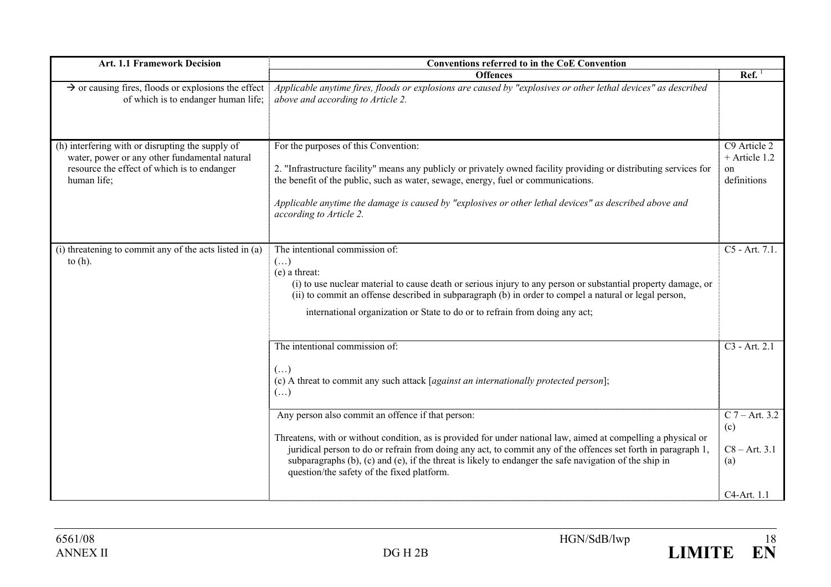| <b>Art. 1.1 Framework Decision</b>                                                                                                                              | <b>Conventions referred to in the CoE Convention</b>                                                                                                                                                                                                                                                                                                                                                                                         |                                                                  |
|-----------------------------------------------------------------------------------------------------------------------------------------------------------------|----------------------------------------------------------------------------------------------------------------------------------------------------------------------------------------------------------------------------------------------------------------------------------------------------------------------------------------------------------------------------------------------------------------------------------------------|------------------------------------------------------------------|
|                                                                                                                                                                 | <b>Offences</b>                                                                                                                                                                                                                                                                                                                                                                                                                              | $\text{Ref.}^1$                                                  |
| $\rightarrow$ or causing fires, floods or explosions the effect<br>of which is to endanger human life;                                                          | Applicable anytime fires, floods or explosions are caused by "explosives or other lethal devices" as described<br>above and according to Article 2.                                                                                                                                                                                                                                                                                          |                                                                  |
| (h) interfering with or disrupting the supply of<br>water, power or any other fundamental natural<br>resource the effect of which is to endanger<br>human life; | For the purposes of this Convention:<br>2. "Infrastructure facility" means any publicly or privately owned facility providing or distributing services for<br>the benefit of the public, such as water, sewage, energy, fuel or communications.<br>Applicable anytime the damage is caused by "explosives or other lethal devices" as described above and<br>according to Article 2.                                                         | C9 Article 2<br>+ Article 1.2<br><sub>on</sub><br>definitions    |
| (i) threatening to commit any of the acts listed in (a)<br>to $(h)$ .                                                                                           | The intentional commission of:<br>$(\ldots)$<br>(e) a threat:<br>(i) to use nuclear material to cause death or serious injury to any person or substantial property damage, or<br>(ii) to commit an offense described in subparagraph (b) in order to compel a natural or legal person,<br>international organization or State to do or to refrain from doing any act;                                                                       | C5 - Art. 7.1.                                                   |
|                                                                                                                                                                 | The intentional commission of:<br>$(\ldots)$<br>(c) A threat to commit any such attack [against an internationally protected person];<br>$(\ldots)$                                                                                                                                                                                                                                                                                          | C <sub>3</sub> - Art. 2.1                                        |
|                                                                                                                                                                 | Any person also commit an offence if that person:<br>Threatens, with or without condition, as is provided for under national law, aimed at compelling a physical or<br>juridical person to do or refrain from doing any act, to commit any of the offences set forth in paragraph 1,<br>subparagraphs (b), (c) and (e), if the threat is likely to endanger the safe navigation of the ship in<br>question/the safety of the fixed platform. | $C$ 7 – Art. 3.2<br>(c)<br>$C8 - Art. 3.1$<br>(a)<br>C4-Art. 1.1 |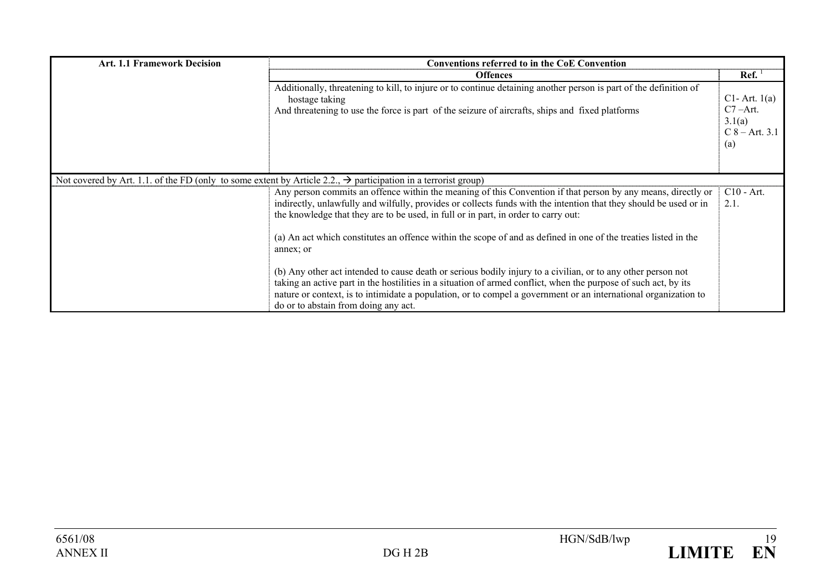| <b>Art. 1.1 Framework Decision</b> | <b>Conventions referred to in the CoE Convention</b>                                                                                                                                                                                                                                                                                                                                       |                                                                        |
|------------------------------------|--------------------------------------------------------------------------------------------------------------------------------------------------------------------------------------------------------------------------------------------------------------------------------------------------------------------------------------------------------------------------------------------|------------------------------------------------------------------------|
|                                    | <b>Offences</b>                                                                                                                                                                                                                                                                                                                                                                            | Ref.                                                                   |
|                                    | Additionally, threatening to kill, to injure or to continue detaining another person is part of the definition of<br>hostage taking<br>And threatening to use the force is part of the seizure of aircrafts, ships and fixed platforms                                                                                                                                                     | $Cl$ - Art. $1(a)$<br>$C7 - Art.$<br>3.1(a)<br>$C_8 - Art. 3.1$<br>(a) |
|                                    | Not covered by Art. 1.1. of the FD (only to some extent by Article 2.2., $\rightarrow$ participation in a terrorist group)                                                                                                                                                                                                                                                                 |                                                                        |
|                                    | Any person commits an offence within the meaning of this Convention if that person by any means, directly or<br>indirectly, unlawfully and wilfully, provides or collects funds with the intention that they should be used or in<br>the knowledge that they are to be used, in full or in part, in order to carry out:                                                                    | $C10 - Art.$<br>2.1.                                                   |
|                                    | (a) An act which constitutes an offence within the scope of and as defined in one of the treaties listed in the<br>annex; or                                                                                                                                                                                                                                                               |                                                                        |
|                                    | (b) Any other act intended to cause death or serious bodily injury to a civilian, or to any other person not<br>taking an active part in the hostilities in a situation of armed conflict, when the purpose of such act, by its<br>nature or context, is to intimidate a population, or to compel a government or an international organization to<br>do or to abstain from doing any act. |                                                                        |